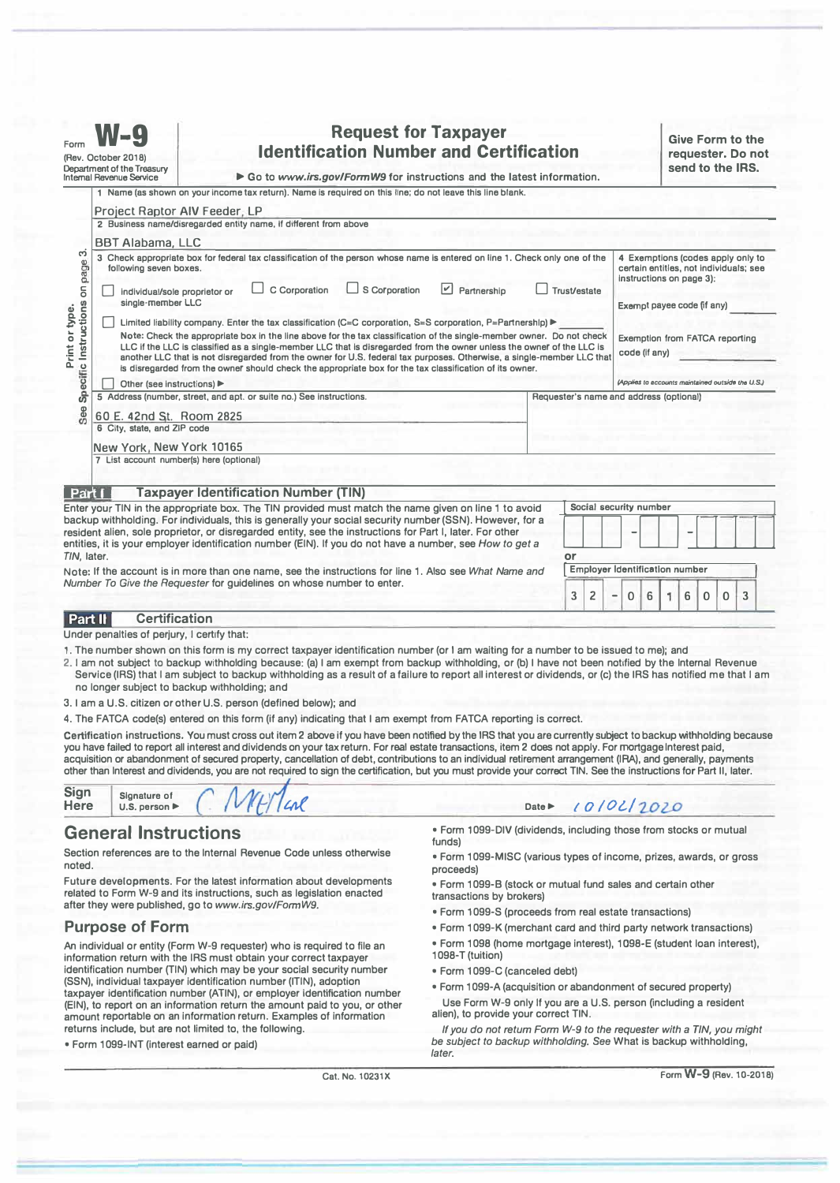| Form                                                 | (Rev. October 2018)<br>Department of the Treasury<br><b>Internal Revenue Service</b>                                                                                                                      |                               |                                             | <b>Request for Taxpayer</b><br><b>Identification Number and Certification</b><br>Go to www.irs.gov/FormW9 for instructions and the latest information.                                                                                                                                                                                                                                                                                                                                                                                                                                                                                                                                                                                                                                                                                                         |             |                     |                                            |               |                                                                                                 |  |   | <b>Give Form to the</b><br>requester. Do not<br>send to the IRS.                                                                 |
|------------------------------------------------------|-----------------------------------------------------------------------------------------------------------------------------------------------------------------------------------------------------------|-------------------------------|---------------------------------------------|----------------------------------------------------------------------------------------------------------------------------------------------------------------------------------------------------------------------------------------------------------------------------------------------------------------------------------------------------------------------------------------------------------------------------------------------------------------------------------------------------------------------------------------------------------------------------------------------------------------------------------------------------------------------------------------------------------------------------------------------------------------------------------------------------------------------------------------------------------------|-------------|---------------------|--------------------------------------------|---------------|-------------------------------------------------------------------------------------------------|--|---|----------------------------------------------------------------------------------------------------------------------------------|
| က<br>Specific Instructions on page<br>Print or type. | Project Raptor AIV Feeder, LP<br>2 Business name/disregarded entity name, if different from above<br><b>BBT Alabama, LLC</b><br>following seven boxes.<br>single-member LLC<br>Other (see instructions) ▶ | individual/sole proprietor or | C Corporation                               | 1 Name (as shown on your income tax return). Name is required on this line; do not leave this line blank.<br>3 Check appropriate box for federal tax classification of the person whose name is entered on line 1. Check only one of the<br>S Corporation<br>Limited liability company. Enter the tax classification (C=C corporation, S=S corporation, P=Partnershlp) ▶<br>Note: Check the appropriate box in the line above for the tax classification of the single-member owner. Do not check<br>LLC if the LLC is classified as a single-member LLC that is disregarded from the owner unless the owner of the LLC is<br>another LLC that is not disregarded from the owner for U.S. federal tax purposes. Otherwise, a single-member LLC that<br>is disregarded from the owner should check the appropriate box for the tax classification of its owner. | Partnership | <b>Trust/estate</b> |                                            | code (if any) | instructions on page 3);<br>Exempt payee code (if any)<br><b>Exemption from FATCA reporting</b> |  |   | 4 Exemptions (codes apply only to<br>certain entities, not individuals; see<br>(Applies to accounts maintained outside the U.S.) |
| See                                                  | 5 Address (number, street, and apt. or suite no.) See instructions.<br>60 E. 42nd St. Room 2825<br>6 City, state, and ZIP code<br>New York, New York 10165<br>7 List account number(s) here (optional)    |                               |                                             |                                                                                                                                                                                                                                                                                                                                                                                                                                                                                                                                                                                                                                                                                                                                                                                                                                                                |             |                     | Requester's name and address (optional)    |               |                                                                                                 |  |   |                                                                                                                                  |
| Part I                                               |                                                                                                                                                                                                           |                               | <b>Taxpayer Identification Number (TIN)</b> | Enter your TIN in the appropriate box. The TIN provided must match the name given on line 1 to avoid<br>backup withholding. For individuals, this is generally your social security number (SSN). However, for a<br>resident alien, sole proprietor, or disregarded entity, see the instructions for Part I, later. For other                                                                                                                                                                                                                                                                                                                                                                                                                                                                                                                                  |             |                     | Social security number                     |               |                                                                                                 |  |   |                                                                                                                                  |
| TIN. later.                                          |                                                                                                                                                                                                           |                               |                                             | entities, it is your employer identification number (EIN). If you do not have a number, see How to get a<br>Note: If the account is in more than one name, see the instructions for line 1. Also see What Name and<br>Number To Give the Requester for quidelines on whose number to enter.                                                                                                                                                                                                                                                                                                                                                                                                                                                                                                                                                                    |             | or<br>3             | <b>Employer Identification number</b><br>2 |               |                                                                                                 |  | 0 | 3                                                                                                                                |

**Under penalties of perjury, I certify that:** 

- **1. The number shown on this form Is my correct taxpayer identification number (or I am waiting for a number to be issued to me); and**
- **2. I am not subject to backup withholding because: (a) I am exempt from backup withholding, or (b) I have not been notified by the Internal Revenue**
- **Service (IRS) that I am subject to backup withholding as a result of a failure to report all interest or dividends, or (c) the IRS has notified me that I am no longer subject to backup withholding; and**
- **3. I am a U.S. citizen or other U.S. person (defined below); and**

**4. The FATCA code(s) entered on this form (if any) indicating that I am exempt from FATCA reporting is correct.** 

**Certification instructions. You must cross out item 2 above if you have been notified by the IRS that you are currently subject to backup withholding because you have failed to report all interest and dividends on your tax return. For real estate transactions, item 2 does not apply. For mortgage Interest paid, acquisition or abandonment of secured property, cancellation of debt, contributions to an individual retirement arrangement (IRA), and generally, payments other than Interest and dividends, you are not required to sign the certification, but you must provide your correct TIN. See the instructions for Part II, later.** 

| Here<br>U.S. person $\blacktriangleright$ | Sign | Signature of |  | MAMane |
|-------------------------------------------|------|--------------|--|--------|
|-------------------------------------------|------|--------------|--|--------|

## **General Instructions**

**Section references are to the Internal Revenue Code unless otherwise noted.** 

**Future developments. For the latest information about developments related to Form W-9 and its instructions, such as legislation enacted after they were published, go to** *www.irs.gov/ForrnW9.*

# **Purpose of Form**

**An individual or entity (Form W-9 requester) who is required to file an information return with the IRS must obtain your correct taxpayer identification number (TIN) which may be your social security number (SSN), individual taxpayer identification number (ITIN), adoption**  taxpayer identification number (ATIN), or employer identification number **(EIN), to report on an information return the amount paid to you, or other amount reportable on an information return. Examples of information returns include, but are not limited to, the following.** 

**• Form 1099-INT (interest earned or paid)** 

**• Form 1099-DIV (dividends, including those from stocks or mutual funds)** 

10102/2020

**• Form 1099-MISC (various types of income, prizes, awards, or gross proceeds)** 

**• Form 1099-B (stock or mutual fund sales and certain other transactions by brokers)** 

**• Form 1099-S (proceeds from real estate transactions)** 

**Date ►** 

- **Form 1099-K (merchant card and third party network transactions)**
- **Form 1098 (home mortgage interest), 1098-E (student loan interest), 1098-T (tuition)**
- **Form 1099-C (canceled debt)**
- **Form 1099-A (acquisition or abandonment of secured property)**  Use Form W-9 only If you are a U.S. person (including a resident **alien), to provide your correct TIN.**

*If you do not retum Form W-9 to the requester with a TIN, you might be subject to backup withholding.* **See What is backup withholding,**  *later.* 

**Cat. No. 10231X**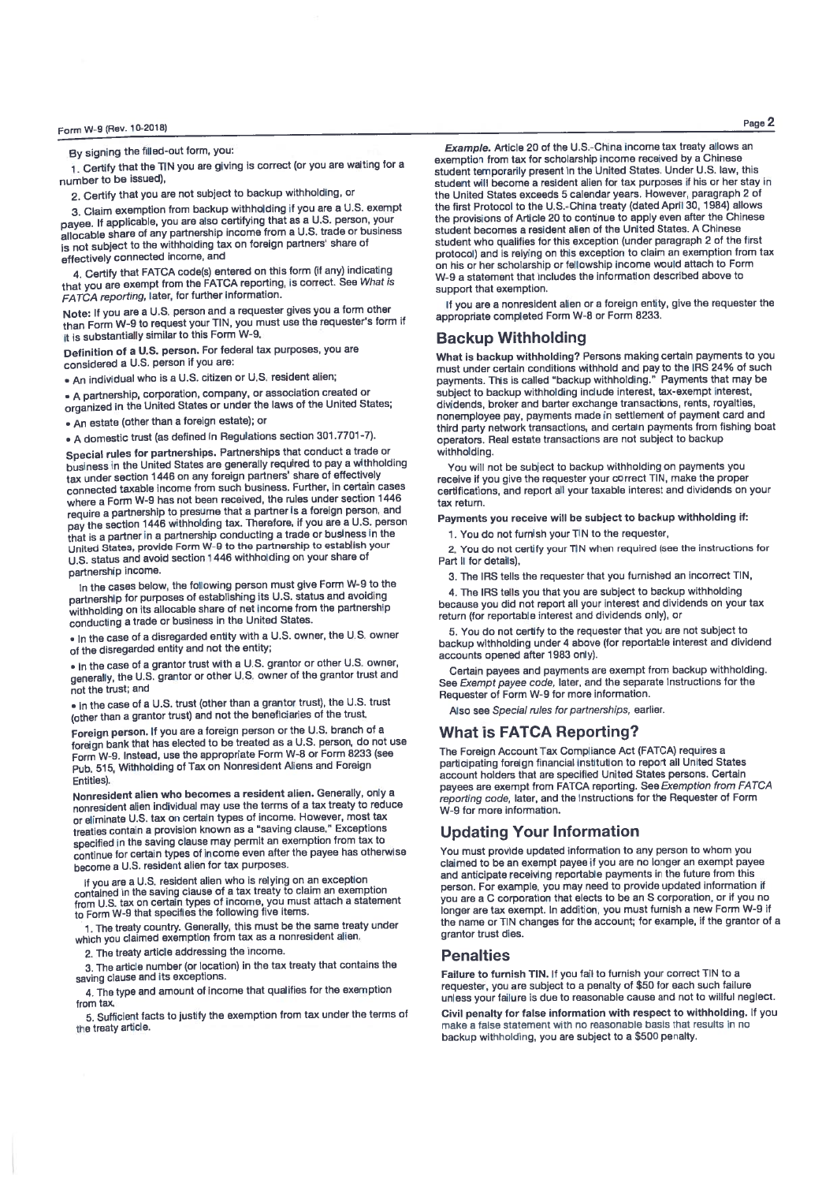By signing the filled-out form, you:

1. Certify that the TIN you are giving is correct (or you are waiting for a number to be issued),

2. Certify that you are not subject to backup withholding, or

3. Claim exemption from backup withholding if you are a U.S. exempt payee. If applicable, you are also certifying that as a U.S. person, your allocable share of any partnership income from a U.S. trade or business is not subject to the withholding tax on foreign partners' share of effectively connected income, and

4. Certify that FATCA code(s) entered on this form (if any) indicating that you are exempt from the FATCA reporting, is correct. See What is FATCA reporting, later, for further information.

Note: If you are a U.S. person and a requester gives you a form other than Form W-9 to request your TIN, you must use the requester's form if It is substantially similar to this Form W-9.

Definition of a U.S. person. For federal tax purposes, you are considered a U.S. person if you are:

. An individual who is a U.S. citizen or U.S. resident alien;

• A partnership, corporation, company, or association created or organized in the United States or under the laws of the United States;

• An estate (other than a foreign estate); or

• A domestic trust (as defined in Regulations section 301.7701-7).

Special rules for partnerships. Partnerships that conduct a trade or business in the United States are generally required to pay a withholding tax under section 1446 on any foreign partners' share of effectively connected taxable income from such business. Further, in certain cases where a Form W-9 has not been received, the rules under section 1446 require a partnership to presume that a partner is a foreign person, and pay the section 1446 withholding tax. Therefore, if you are a U.S. person that is a partner in a partnership conducting a trade or business in the United States, provide Form W-9 to the partnership to establish your U.S. status and avoid section 1446 withholding on your share of partnership income.

In the cases below, the following person must give Form W-9 to the partnership for purposes of establishing its U.S. status and avoiding withholding on its allocable share of net income from the partnership conducting a trade or business in the United States.

. In the case of a disregarded entity with a U.S. owner, the U.S. owner of the disregarded entity and not the entity;

. In the case of a grantor trust with a U.S. grantor or other U.S. owner, generally, the U.S. grantor or other U.S. owner of the grantor trust and not the trust; and

. In the case of a U.S. trust (other than a grantor trust), the U.S. trust (other than a grantor trust) and not the beneficiaries of the trust.

Foreign person. If you are a foreign person or the U.S. branch of a foreign bank that has elected to be treated as a U.S. person, do not use Form W-9. Instead, use the appropriate Form W-8 or Form 8233 (see Pub. 515, Withholding of Tax on Nonresident Aliens and Foreign **Fntities)** 

Nonresident alien who becomes a resident alien. Generally, only a nonresident alien individual may use the terms of a tax treaty to reduce or eliminate U.S. tax on certain types of income. However, most tax treaties contain a provision known as a "saving clause." Exceptions specified in the saving clause may permit an exemption from tax to continue for certain types of income even after the payee has otherwise become a U.S. resident alien for tax purposes.

If you are a U.S. resident alien who is relying on an exception contained in the saving clause of a tax treaty to claim an exemption<br>from U.S. tax on certain types of income, you must attach a statement<br>to Form W-9 that specifies the following five items.

1. The treaty country. Generally, this must be the same treaty under which you claimed exemption from tax as a nonresident alien.

2. The treaty article addressing the income.

3. The article number (or location) in the tax treaty that contains the saving clause and its exceptions.

4. The type and amount of income that qualifies for the exemption from tax.

5. Sufficient facts to justify the exemption from tax under the terms of the treaty article.

Example. Article 20 of the U.S.-China income tax treaty allows an exemption from tax for scholarship income received by a Chinese student temporarily present in the United States. Under U.S. law, this student will become a resident alien for tax purposes if his or her stay in the United States exceeds 5 calendar years. However, paragraph 2 of the first Protocol to the U.S.-China treaty (dated April 30, 1984) allows the provisions of Article 20 to continue to apply even after the Chinese student becomes a resident alien of the United States. A Chinese student who qualifies for this exception (under paragraph 2 of the first protocol) and is relying on this exception to claim an exemption from tax on his or her scholarship or fellowship income would attach to Form W-9 a statement that includes the information described above to support that exemption.

If you are a nonresident alien or a foreign entity, give the requester the appropriate completed Form W-8 or Form 8233.

### **Backup Withholding**

What is backup withholding? Persons making certain payments to you what is used certain conditions withhold and pay to the IRS 24% of such<br>payments. This is called "backup withholding." Payments that may be<br>subject to backup withholding include interest, tax-exempt interest, dividends, broker and barter exchange transactions, rents, royalties, nonemployee pay, payments made in settlement of payment card and third party network transactions, and certain payments from fishing boat operators. Real estate transactions are not subject to backup withholding

You will not be subject to backup withholding on payments you receive if you give the requester your correct TIN, make the proper certifications, and report all your taxable interest and dividends on your tax return.

Payments you receive will be subject to backup withholding if:

1. You do not furnish your TIN to the requester,

2. You do not certify your TIN when required (see the instructions for Part II for details).

3. The IRS tells the requester that you furnished an incorrect TIN,

4. The IRS tells you that you are subject to backup withholding because you did not report all your interest and dividends on your tax return (for reportable interest and dividends only), or

5. You do not certify to the requester that you are not subject to backup withholding under 4 above (for reportable interest and dividend accounts opened after 1983 only).

Certain payees and payments are exempt from backup withholding. See Exempt payee code, later, and the separate Instructions for the Requester of Form W-9 for more information

Also see Special rules for partnerships, earlier.

### **What is FATCA Reporting?**

The Foreign Account Tax Compliance Act (FATCA) requires a participating foreign financial institution to report all United States account holders that are specified United States persons. Certain payees are exempt from FATCA reporting. See Exemption from FATCA reporting code, later, and the Instructions for the Requester of Form W-9 for more information.

## **Updating Your Information**

You must provide updated information to any person to whom you claimed to be an exempt payee if you are no longer an exempt payee and anticipate receiving reportable payments in the future from this person. For example, you may need to provide updated information if you are a C corporation that elects to be an S corporation, or if you no longer are tax exempt. In addition, you must furnish a new Form W-9 if the name or TIN changes for the account; for example, if the grantor of a grantor trust dies.

#### **Penalties**

Failure to furnish TIN. If you fail to furnish your correct TIN to a requester, you are subject to a penalty of \$50 for each such failure unless your failure is due to reasonable cause and not to willful neglect.

Civil penalty for false information with respect to withholding. If you make a false statement with no reasonable basis that results in no backup withholding, you are subject to a \$500 penalty.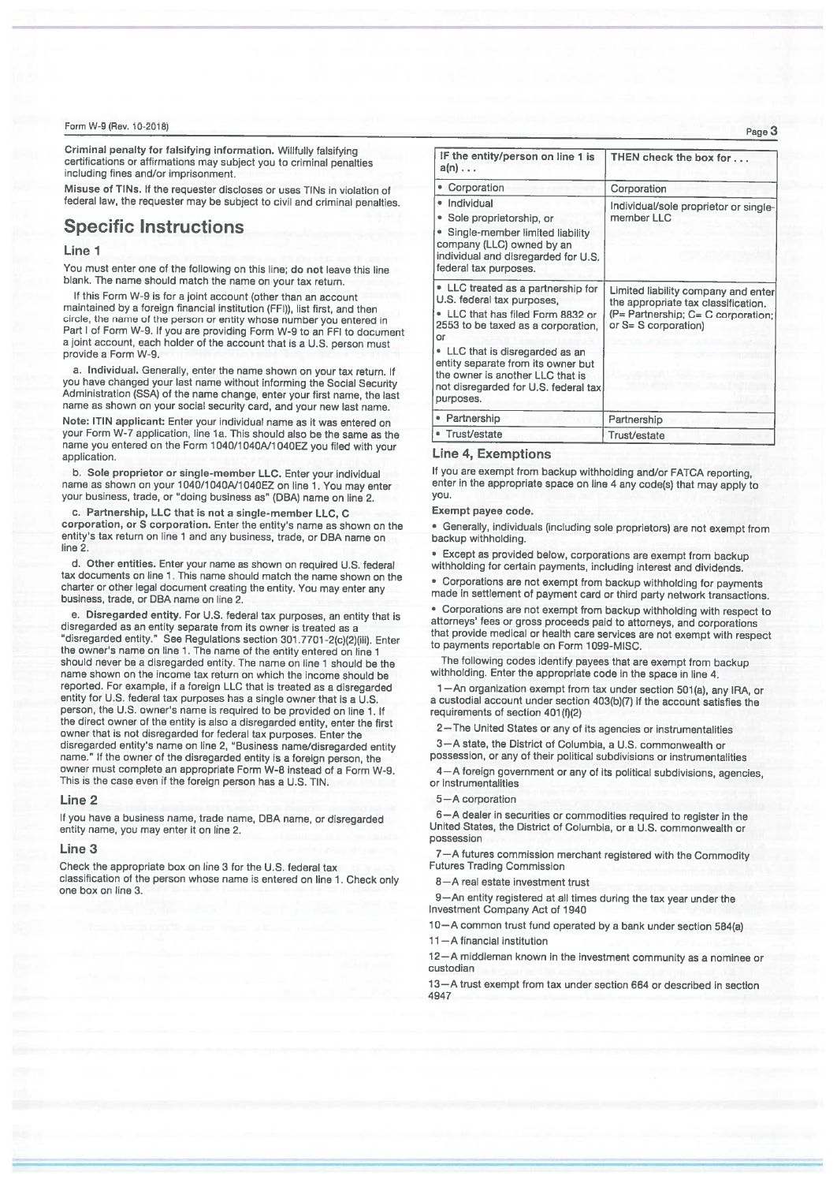Criminal penalty for falsifying information. Willfully falsifying certifications or affirmations may subject you to criminal penalties including fines and/or imprisonment.

Misuse of TINs. If the requester discloses or uses TINs in violation of federal law, the requester may be subject to civil and criminal penalties.

# **Specific Instructions**

#### Line 1

You must enter one of the following on this line; do not leave this line blank. The name should match the name on your tax return.

If this Form W-9 is for a joint account (other than an account maintained by a foreign financial institution (FFI)), list first, and then circle, the name of the person or entity whose number you entered in Part I of Form W-9. If you are providing Form W-9 to an FFI to document a joint account, each holder of the account that is a U.S. person must provide a Form W-9.

a. Individual. Generally, enter the name shown on your tax return. If you have changed your last name without informing the Social Security Administration (SSA) of the name change, enter your first name, the last name as shown on your social security card, and your new last name.

Note: ITIN applicant: Enter your individual name as it was entered on your Form W-7 application, line 1a. This should also be the same as the name you entered on the Form 1040/1040A/1040EZ you filed with your application.

b. Sole proprietor or single-member LLC. Enter your individual name as shown on your 1040/1040A/1040EZ on line 1. You may enter your business, trade, or "doing business as" (DBA) name on line 2.

c. Partnership, LLC that is not a single-member LLC. C corporation, or S corporation. Enter the entity's name as shown on the entity's tax return on line 1 and any business, trade, or DBA name on line 2

d. Other entities. Enter your name as shown on required U.S. federal tax documents on line 1. This name should match the name shown on the charter or other legal document creating the entity. You may enter any business, trade, or DBA name on line 2.

e. Disregarded entity. For U.S. federal tax purposes, an entity that is disregarded as an entity separate from its owner is treated as a "disregarded entity." See Regulations section 301.7701-2(c)(2)(iii). Enter the owner's name on line 1. The name of the entity entered on line 1 should never be a disregarded entity. The name on line 1 should be the name shown on the income tax return on which the income should be reported. For example, if a foreign LLC that is treated as a disregarded entity for U.S. federal tax purposes has a single owner that is a U.S. person, the U.S. owner's name is required to be provided on line 1. If the direct owner of the entity is also a disregarded entity, enter the first owner that is not disregarded for federal tax purposes. Enter the disregarded entity's name on line 2, "Business name/disregarded entity name." If the owner of the disregarded entity is a foreign person, the owner must complete an appropriate Form W-8 instead of a Form W-9. This is the case even if the foreign person has a U.S. TIN.

#### Line 2

If you have a business name, trade name, DBA name, or disregarded entity name, you may enter it on line 2.

#### Line 3

Check the appropriate box on line 3 for the U.S. federal tax classification of the person whose name is entered on line 1. Check only one box on line 3.

| IF the entity/person on line 1 is<br>$a(n) \ldots$                                                                                                                                                                                                                                                                   | THEN check the box for                                                                                                                   |  |  |  |  |
|----------------------------------------------------------------------------------------------------------------------------------------------------------------------------------------------------------------------------------------------------------------------------------------------------------------------|------------------------------------------------------------------------------------------------------------------------------------------|--|--|--|--|
| • Corporation                                                                                                                                                                                                                                                                                                        | Corporation                                                                                                                              |  |  |  |  |
| · Individual<br>Sole proprietorship, or<br>Single-member limited liability<br>company (LLC) owned by an<br>individual and disregarded for U.S.<br>federal tax purposes.                                                                                                                                              | Individual/sole proprietor or single-<br>member LLC                                                                                      |  |  |  |  |
| • LLC treated as a partnership for<br>U.S. federal tax purposes,<br>• LLC that has filed Form 8832 or<br>2553 to be taxed as a corporation,<br>or<br>• LLC that is disregarded as an<br>entity separate from its owner but<br>the owner is another LLC that is<br>not disregarded for U.S. federal tax.<br>purposes. | Limited liability company and enter<br>the appropriate tax classification.<br>(P= Partnership; C= C corporation;<br>or S= S corporation) |  |  |  |  |
| • Partnership                                                                                                                                                                                                                                                                                                        | Partnership                                                                                                                              |  |  |  |  |
| • Trust/estate                                                                                                                                                                                                                                                                                                       | Trust/estate                                                                                                                             |  |  |  |  |

## **Line 4, Exemptions**

If you are exempt from backup withholding and/or FATCA reporting, enter in the appropriate space on line 4 any code(s) that may apply to vou.

#### Exempt payee code.

· Generally, individuals (including sole proprietors) are not exempt from backup withholding.

**Except as provided below, corporations are exempt from backup** withholding for certain payments, including interest and dividends.

· Corporations are not exempt from backup withholding for payments made in settlement of payment card or third party network transactions.

. Corporations are not exempt from backup withholding with respect to attorneys' fees or gross proceeds paid to attorneys, and corporations that provide medical or health care services are not exempt with respect to payments reportable on Form 1099-MISC.

The following codes identify payees that are exempt from backup withholding. Enter the appropriate code in the space in line 4.

1-An organization exempt from tax under section 501(a), any IRA, or a custodial account under section 403(b)(7) if the account satisfies the requirements of section 401(f)(2)

2-The United States or any of its agencies or instrumentalities 3-A state, the District of Columbia, a U.S. commonwealth or

possession, or any of their political subdivisions or instrumentalities

4-A foreign government or any of its political subdivisions, agencies, or instrumentalities

#### 5-A corporation

6-A dealer in securities or commodities required to register in the United States, the District of Columbia, or a U.S. commonwealth or possession

7-A futures commission merchant registered with the Commodity **Futures Trading Commission** 

-A real estate investment trust

9-An entity registered at all times during the tax year under the Investment Company Act of 1940

10-A common trust fund operated by a bank under section 584(a)

11-A financial institution

12-A middleman known in the investment community as a nominee or custodian

13-A trust exempt from tax under section 664 or described in section 4947

Page 3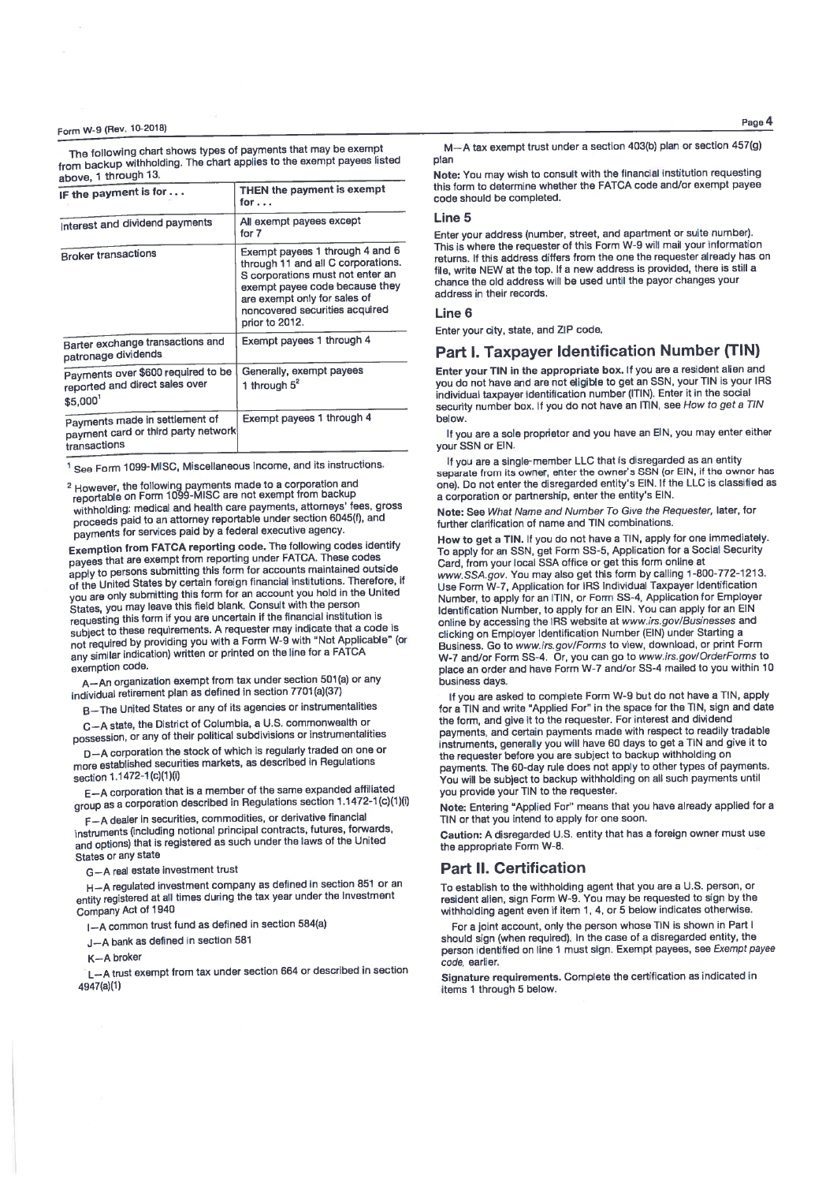Ī

The following chart shows types of payments that may be exempt from backup withholding. The chart applies to the exempt payees listed above, 1 through 13.

| IF the payment is for $\dots$                                                         | THEN the payment is exempt<br>for $\dots$                                                                                                                                                                                       |  |  |  |  |  |
|---------------------------------------------------------------------------------------|---------------------------------------------------------------------------------------------------------------------------------------------------------------------------------------------------------------------------------|--|--|--|--|--|
| interest and dividend payments                                                        | All exempt payees except<br>for 7                                                                                                                                                                                               |  |  |  |  |  |
| <b>Broker transactions</b>                                                            | Exempt payees 1 through 4 and 6<br>through 11 and all C corporations.<br>S corporations must not enter an<br>exempt payee code because they<br>are exempt only for sales of<br>noncovered securities acquired<br>prior to 2012. |  |  |  |  |  |
| Barter exchange transactions and<br>patronage dividends                               | Exempt payees 1 through 4                                                                                                                                                                                                       |  |  |  |  |  |
| Payments over \$600 required to be<br>reported and direct sales over<br>\$5,000       | Generally, exempt payees<br>1 through $5^2$                                                                                                                                                                                     |  |  |  |  |  |
| Payments made in settlement of<br>payment card or third party network<br>transactions | Exempt payees 1 through 4                                                                                                                                                                                                       |  |  |  |  |  |

<sup>1</sup> See Form 1099-MISC, Miscellaneous Income, and its instructions.

<sup>2</sup> However, the following payments made to a corporation and<br>reportable on Form 1099-MISC are not exempt from backup withholding: medical and health care payments, attorneys' fees, gross proceeds paid to an attorney reportable under section 6045(f), and payments for services paid by a federal executive agency.

Exemption from FATCA reporting code. The following codes identify payees that are exempt from reporting under FATCA. These codes apply to persons submitting this form for accounts maintained outside of the United States by certain foreign financial institutions. Therefore, if you are only submitting this form for an account you hold in the United<br>States, you may leave this field blank. Consult with the person requesting this form if you are uncertain if the financial institution is subject to these requirements. A requester may indicate that a code is not required by providing you with a Form W-9 with "Not Applicable" (or any similar indication) written or printed on the line for a FATCA exemption code.

A-An organization exempt from tax under section 501(a) or any individual retirement plan as defined in section 7701(a)(37)

B-The United States or any of its agencies or instrumentalities

C-A state, the District of Columbia, a U.S. commonwealth or possession, or any of their political subdivisions or instrumentalities

D-A corporation the stock of which is regularly traded on one or more established securities markets, as described in Regulations section 1.1472-1(c)(1)(i)

E-A corporation that is a member of the same expanded affiliated group as a corporation described in Regulations section 1.1472-1(c)(1)(i)

F-A dealer in securities, commodities, or derivative financial instruments (including notional principal contracts, futures, forwards. and options) that is registered as such under the laws of the United States or any state

G-A real estate investment trust

H-A regulated investment company as defined in section 851 or an entity registered at all times during the tax year under the Investment Company Act of 1940

I-A common trust fund as defined in section 584(a)

J-A bank as defined in section 581

K-A broker

L-A trust exempt from tax under section 664 or described in section 4947(a)(1)

Page 4

M-A tax exempt trust under a section 403(b) plan or section 457(g) nlan

Note: You may wish to consult with the financial institution requesting this form to determine whether the FATCA code and/or exempt payee code should be completed.

#### $l$  ine  $5$

Enter your address (number, street, and apartment or suite number). This is where the requester of this Form W-9 will mail your information returns. If this address differs from the one the requester already has on file, write NEW at the top. If a new address is provided, there is still a chance the old address will be used until the payor changes your address in their records.

#### Line 6

Enter your city, state, and ZIP code.

## Part I. Taxpayer Identification Number (TIN)

Enter your TIN in the appropriate box. If you are a resident alien and you do not have and are not eligible to get an SSN, your TIN is your IRS individual taxpayer identification number (ITIN). Enter it in the social security number box. If you do not have an ITIN, see How to get a TIN below

If you are a sole proprietor and you have an EIN, you may enter either vour SSN or EIN.

If you are a single-member LLC that is disregarded as an entity separate from its owner, enter the owner's SSN (or EIN, if the owner has one). Do not enter the disregarded entity's EIN. If the LLC is classified as a corporation or partnership, enter the entity's EIN.

Note: See What Name and Number To Give the Requester, later, for further clarification of name and TIN combinations.

How to get a TIN. If you do not have a TIN, apply for one immediately. To apply for an SSN, get Form SS-5, Application for a Social Security Card, from your local SSA office or get this form online at www.SSA.gov. You may also get this form by calling 1-800-772-1213. Use Form W-7, Application for IRS Individual Taxpayer Identification<br>Number, to apply for an ITIN, or Form SS-4, Application for Employer<br>Identification Number, to apply for an EIN. You can apply for an EIN online by accessing the IRS website at www.irs.gov/Businesses and clicking on Employer Identification Number (EIN) under Starting a Business. Go to www.irs.gov/Forms to view, download, or print Form W-7 and/or Form SS-4. Or, you can go to www.irs.gov/OrderForms to place an order and have Form W-7 and/or SS-4 mailed to you within 10 business days.

If you are asked to complete Form W-9 but do not have a TIN, apply for a TIN and write "Applied For" in the space for the TIN, sign and date the form, and give it to the requester. For interest and dividend payments, and certain payments made with respect to readily tradable instruments, generally you will have 60 days to get a TIN and give it to the requester before you are subject to backup withholding on payments. The 60-day rule does not apply to other types of payments. You will be subject to backup withholding on all such payments until you provide your TIN to the requester.

Note: Entering "Applied For" means that you have already applied for a TIN or that you intend to apply for one soon.

Caution: A disregarded U.S. entity that has a foreign owner must use the appropriate Form W-8.

## **Part II. Certification**

To establish to the withholding agent that you are a U.S. person, or resident alien, sign Form W-9. You may be requested to sign by the withholding agent even if item 1, 4, or 5 below indicates otherwise.

For a joint account, only the person whose TIN is shown in Part I should sign (when required). In the case of a disregarded entity, the person identified on line 1 must sign. Exempt payees, see Exempt payee code, earlier.

Signature requirements. Complete the certification as indicated in items 1 through 5 below.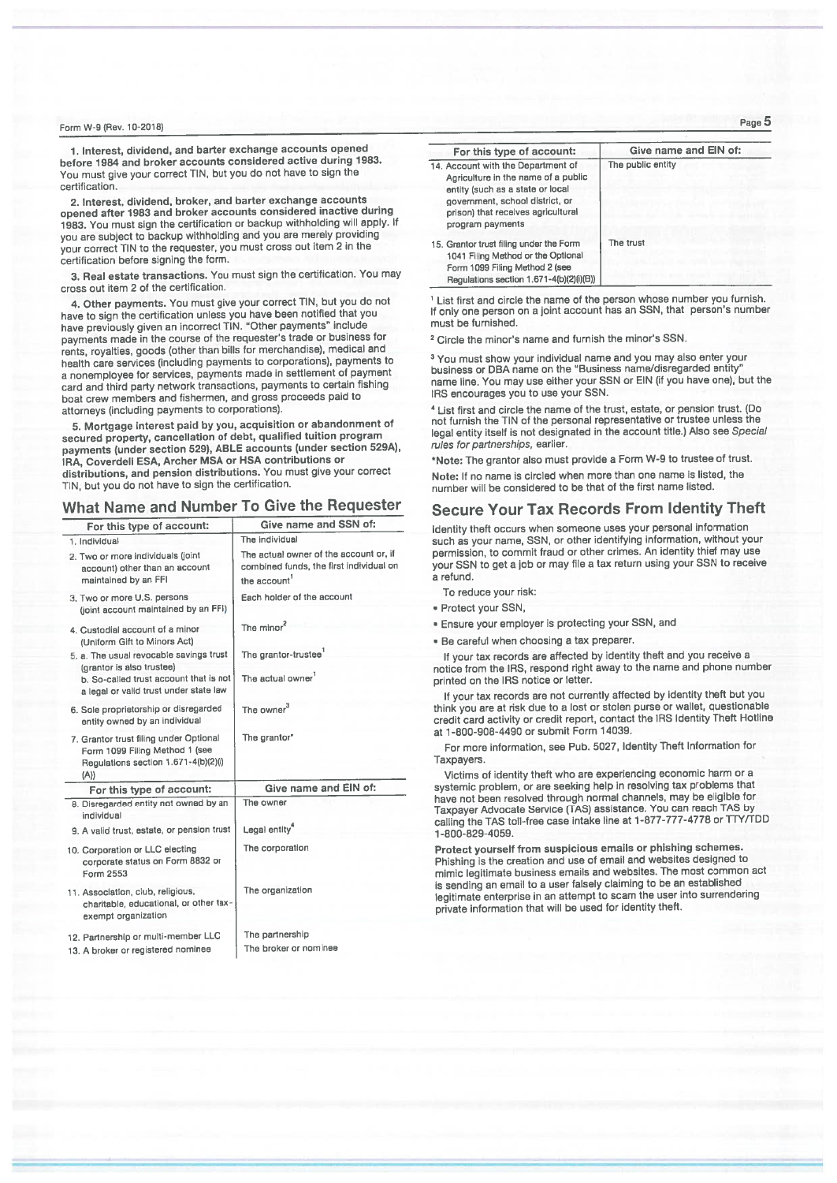1. Interest, dividend, and barter exchange accounts opened before 1984 and broker accounts considered active during 1983. You must give your correct TIN, but you do not have to sign the certification

2. Interest, dividend, broker, and barter exchange accounts opened after 1983 and broker accounts considered inactive during 1983. You must sign the certification or backup withholding will apply. If you are subject to backup withholding and you are merely providing your correct TIN to the requester, you must cross out item 2 in the certification before signing the form.

3. Real estate transactions. You must sign the certification. You may cross out item 2 of the certification.

4. Other payments. You must give your correct TIN, but you do not have to sign the certification unless you have been notified that you have previously given an incorrect TIN. "Other payments" include payments made in the course of the requester's trade or business for rents, royalties, goods (other than bills for merchandise), medical and health care services (including payments to corporations), payments to a nonemployee for services, payments made in settlement of payment card and third party network transactions, payments to certain fishing boat crew members and fishermen, and gross proceeds paid to attorneys (including payments to corporations).

5. Mortgage interest paid by you, acquisition or abandonment of secured property, cancellation of debt, qualified tuition program payments (under section 529), ABLE accounts (under section 529A), IRA, Coverdell ESA, Archer MSA or HSA contributions or distributions, and pension distributions. You must give your correct TIN, but you do not have to sign the certification.

# What Name and Number To Give the Requester

| For this type of account:                                                                                                | Give name and SSN of:                                                                            |
|--------------------------------------------------------------------------------------------------------------------------|--------------------------------------------------------------------------------------------------|
| 1. Individual                                                                                                            | The individual                                                                                   |
| 2. Two or more individuals (joint<br>account) other than an account<br>maintained by an FFI                              | The actual owner of the account or, if<br>combined funds, the first individual on<br>the account |
| 3. Two or more U.S. persons<br>(joint account maintained by an FFI)                                                      | Each holder of the account                                                                       |
| 4. Custodial account of a minor<br>(Uniform Gift to Minors Act)                                                          | The minor <sup>2</sup>                                                                           |
| 5, a. The usual revocable savings trust                                                                                  | The grantor-trustee                                                                              |
| (grantor is also trustee)<br>b. So-called trust account that is not<br>a legal or valid trust under state law            | The actual owner                                                                                 |
| 6. Sole proprietorship or disregarded<br>entity owned by an individual                                                   | The owner <sup>3</sup>                                                                           |
| 7. Grantor trust filing under Optional<br>Form 1099 Filing Method 1 (see<br>Regulations section 1.671-4(b)(2)(i)<br>(A)) | The grantor <sup>®</sup>                                                                         |
| For this type of account:                                                                                                | Give name and EIN of:                                                                            |
| 8. Disregarded entity not owned by an<br>individual                                                                      | The owner                                                                                        |
| 9. A valid trust, estate, or pension trust                                                                               | Legal entity <sup>®</sup>                                                                        |
| 10. Corporation or LLC electing<br>corporate status on Form 8832 or<br>Form 2553                                         | The corporation                                                                                  |
| 11. Association, club, religious,<br>charitable, educational, or other tax-<br>exempt organization                       | The organization                                                                                 |
| 12. Partnership or multi-member LLC<br>13. A broker or registered nominee                                                | The partnership<br>The broker or nominee                                                         |

| For this type of account:                                                                                                                                                                                  | Give name and EIN of: |
|------------------------------------------------------------------------------------------------------------------------------------------------------------------------------------------------------------|-----------------------|
| 14. Account with the Department of<br>Agriculture in the name of a public<br>entity (such as a state or local<br>government, school district, or<br>prison) that receives agricultural<br>program payments | The public entity     |
| 15. Grantor trust filing under the Form<br>1041 Filing Method or the Optional<br>Form 1099 Filing Method 2 (see<br>Deputations conting 1,871, 4(b)(2)(i)(R))                                               | The trust             |

<sup>1</sup> List first and circle the name of the person whose number you furnish. If only one person on a joint account has an SSN, that person's number must be furnished.

<sup>2</sup> Circle the minor's name and furnish the minor's SSN.

<sup>3</sup> You must show your individual name and you may also enter your<br>business or DBA name on the "Business name/disregarded entity" name line. You may use either your SSN or EIN (if you have one), but the IRS encourages you to use your SSN.

<sup>4</sup> List first and circle the name of the trust, estate, or pension trust. (Do not furnish the TIN of the personal representative or trustee unless the legal entity itself is not designated in the account title.) Also see Special rules for partnerships, earlier.

\*Note: The grantor also must provide a Form W-9 to trustee of trust.

Note: If no name is circled when more than one name is listed, the number will be considered to be that of the first name listed.

# **Secure Your Tax Records From Identity Theft**

Identity theft occurs when someone uses your personal information such as your name, SSN, or other identifying information, without your permission, to commit fraud or other crimes. An identity thief may use your SSN to get a job or may file a tax return using your SSN to receive a refund.

To reduce your risk: · Protect your SSN

- . Ensure your employer is protecting your SSN, and
- . Be careful when choosing a tax preparer.

If your tax records are affected by identity theft and you receive a notice from the IRS, respond right away to the name and phone number printed on the IRS notice or letter.

If your tax records are not currently affected by identity theft but you think you are at risk due to a lost or stolen purse or wallet, questionable credit card activity or credit report, contact the IRS Identity Theft Hotline at 1-800-908-4490 or submit Form 14039.

For more information, see Pub. 5027, Identity Theft Information for Taxpayers

Victims of identity theft who are experiencing economic harm or a systemic problem, or are seeking help in resolving tax problems that have not been resolved through normal channels, may be eligible for Taxpayer Advocate Service (TAS) assistance. You can reach TAS by calling the TAS toll-free case intake line at 1-877-777-4778 or TTY/TDD 1-800-829-4059.

Protect yourself from suspicious emails or phishing schemes. Phishing is the creation and use of email and websites designed to mimic legitimate business emails and websites. The most common act is sending an email to a user falsely claiming to be an established legitimate enterprise in an attempt to scam the user into surrendering private information that will be used for identity theft.

Page 5